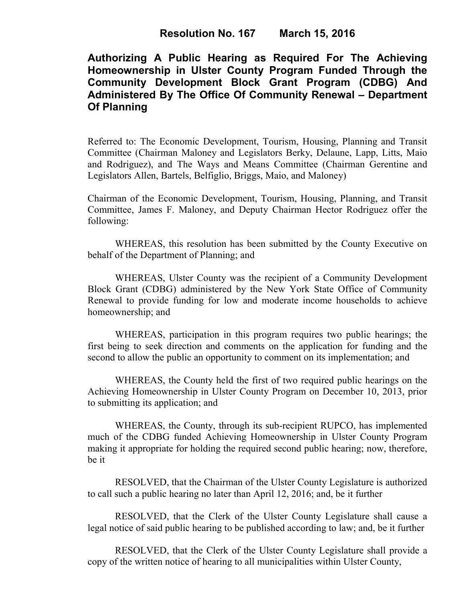## **Authorizing A Public Hearing as Required For The Achieving Homeownership in Ulster County Program Funded Through the Community Development Block Grant Program (CDBG) And Administered By The Office Of Community Renewal – Department Of Planning**

Referred to: The Economic Development, Tourism, Housing, Planning and Transit Committee (Chairman Maloney and Legislators Berky, Delaune, Lapp, Litts, Maio and Rodriguez), and The Ways and Means Committee (Chairman Gerentine and Legislators Allen, Bartels, Belfiglio, Briggs, Maio, and Maloney)

Chairman of the Economic Development, Tourism, Housing, Planning, and Transit Committee, James F. Maloney, and Deputy Chairman Hector Rodriguez offer the following:

WHEREAS, this resolution has been submitted by the County Executive on behalf of the Department of Planning; and

WHEREAS, Ulster County was the recipient of a Community Development Block Grant (CDBG) administered by the New York State Office of Community Renewal to provide funding for low and moderate income households to achieve homeownership; and

WHEREAS, participation in this program requires two public hearings; the first being to seek direction and comments on the application for funding and the second to allow the public an opportunity to comment on its implementation; and

WHEREAS, the County held the first of two required public hearings on the Achieving Homeownership in Ulster County Program on December 10, 2013, prior to submitting its application; and

WHEREAS, the County, through its sub-recipient RUPCO, has implemented much of the CDBG funded Achieving Homeownership in Ulster County Program making it appropriate for holding the required second public hearing; now, therefore, be it

RESOLVED, that the Chairman of the Ulster County Legislature is authorized to call such a public hearing no later than April 12, 2016; and, be it further

RESOLVED, that the Clerk of the Ulster County Legislature shall cause a legal notice of said public hearing to be published according to law; and, be it further

RESOLVED, that the Clerk of the Ulster County Legislature shall provide a copy of the written notice of hearing to all municipalities within Ulster County,